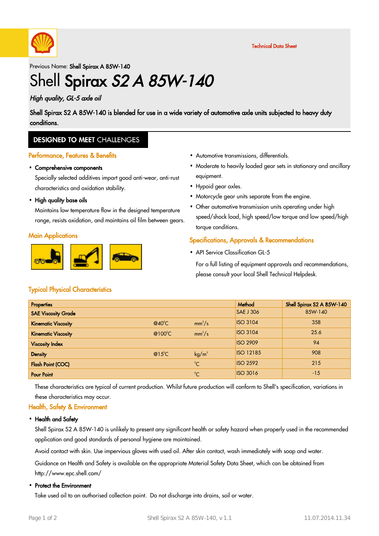

Previous Name: Shell Spirax A 85W-140

# Shell Spirax S2 A 85W-140

### High quality, GL-5 axle oil

Shell Spirax S2 A 85W-140 is blended for use in a wide variety of automotive axle units subjected to heavy duty conditions.

### **DESIGNED TO MEET CHALLENGES**

#### Performance, Features & Benefits

# Comprehensive components ·

Specially selected additives impart good anti-wear, anti-rust characteristics and oxidation stability.

• High quality base oils

Maintains low temperature flow in the designed temperature range, resists oxidation, and maintains oil film between gears.

#### **Main Applications**



- Automotive transmissions, differentials. ·
- Moderate to heavily loaded gear sets in stationary and ancillary · equipment.
- Hypoid gear axles.
- Motorcycle gear units separate from the engine.
- Other automotive transmission units operating under high speed/shock load, high speed/low torque and low speed/high torque conditions.

#### Specifications, Approvals & Recommendations

• API Service Classification GL-5

For a full listing of equipment approvals and recommendations, please consult your local Shell Technical Helpdesk.

#### Typical Physical Characteristics

| <b>Properties</b>          |                  |                   | Method           | Shell Spirax S2 A 85W-140 |
|----------------------------|------------------|-------------------|------------------|---------------------------|
| <b>SAE Viscosity Grade</b> |                  |                   | <b>SAE J 306</b> | 85W-140                   |
| <b>Kinematic Viscosity</b> | $@40^{\circ}$ C  | $mm^2/s$          | <b>ISO 3104</b>  | 358                       |
| <b>Kinematic Viscosity</b> | @100 $\degree$ C | $mm^2/s$          | <b>ISO 3104</b>  | 25.6                      |
| <b>Viscosity Index</b>     |                  |                   | <b>ISO 2909</b>  | 94                        |
| <b>Density</b>             | $@15^{\circ}$ C  | kg/m <sup>3</sup> | <b>ISO 12185</b> | 908                       |
| <b>Flash Point (COC)</b>   |                  | $^{\circ}$ C      | <b>ISO 2592</b>  | 215                       |
| <b>Pour Point</b>          |                  | $^{\circ}C$       | <b>ISO 3016</b>  | $-15$                     |

These characteristics are typical of current production. Whilst future production will conform to Shell's specification, variations in these characteristics may occur.

#### Health, Safety & Environment

#### • Health and Safety

Shell Spirax S2 A 85W-140 is unlikely to present any significant health or safety hazard when properly used in the recommended application and good standards of personal hygiene are maintained.

Avoid contact with skin. Use impervious gloves with used oil. After skin contact, wash immediately with soap and water.

Guidance on Health and Safety is available on the appropriate Material Safety Data Sheet, which can be obtained from http://www.epc.shell.com/

# • Protect the Environment

Take used oil to an authorised collection point. Do not discharge into drains, soil or water.